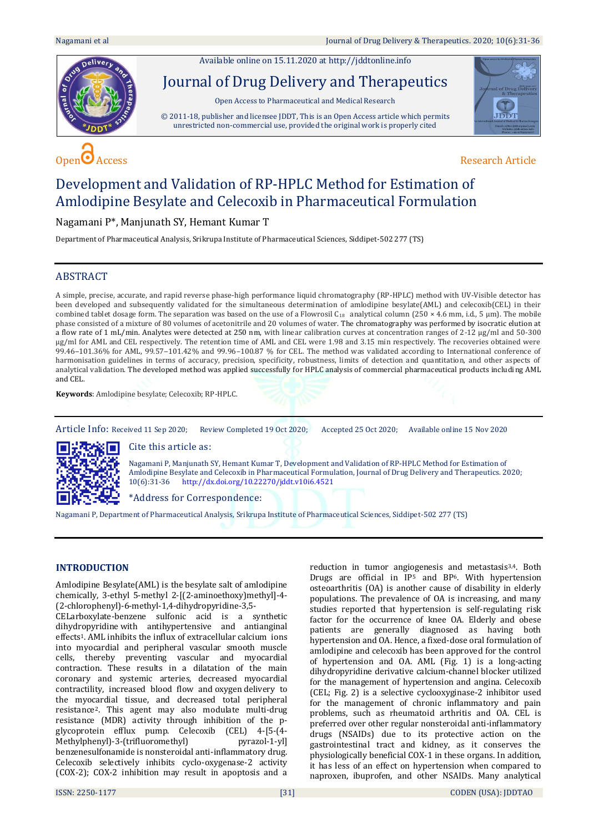Available online on 15.11.2020 a[t http://jddtonline.info](http://jddtonline.info/)





**JDDT** 

# Development and Validation of RP-HPLC Method for Estimation of Amlodipine Besylate and Celecoxib in Pharmaceutical Formulation

# Nagamani P\*, Manjunath SY, Hemant Kumar T

Department of Pharmaceutical Analysis, Srikrupa Institute of Pharmaceutical Sciences, Siddipet-502 277 (TS)

# ABSTRACT

A simple, precise, accurate, and rapid reverse phase-high performance liquid chromatography (RP-HPLC) method with UV-Visible detector has been developed and subsequently validated for the simultaneous determination of amlodipine besylate(AML) and celecoxib(CEL) in their combined tablet dosage form. The separation was based on the use of a Flowrosil C<sub>18</sub> analytical column (250 × 4.6 mm, i.d., 5 µm). The mobile phase consisted of a mixture of 80 volumes of acetonitrile and 20 volumes of water. The chromatography was performed by isocratic elution at a flow rate of 1 mL/min. Analytes were detected at 250 nm, with linear calibration curves at concentration ranges of 2-12 µg/ml and 50-300 µg/ml for AML and CEL respectively. The retention time of AML and CEL were 1.98 and 3.15 min respectively. The recoveries obtained were 99.46-101.36% for AML, 99.57-101.42% and 99.96-100.87 % for CEL. The method was validated according to International conference of harmonisation guidelines in terms of accuracy, precision, specificity, robustness, limits of detection and quantitation, and other aspects of analytical validation. The developed method was applied successfully for HPLC analysis of commercial pharmaceutical products including AML and CEL.

**Keywords**: Amlodipine besylate; Celecoxib; RP-HPLC.

Article Info: Received 11 Sep 2020; Review Completed 19 Oct 2020; Accepted 25 Oct 2020; Available online 15 Nov 2020



Cite this article as:

Nagamani P, Manjunath SY, Hemant Kumar T, Development and Validation of RP-HPLC Method for Estimation of Amlodipine Besylate and Celecoxib in Pharmaceutical Formulation, Journal of Drug Delivery and Therapeutics. 2020; 10(6):31-36 <http://dx.doi.org/10.22270/jddt.v10i6.4521>

\*Address for Correspondence:

Nagamani P, Department of Pharmaceutical Analysis, Srikrupa Institute of Pharmaceutical Sciences, Siddipet-502 277 (TS)

# **INTRODUCTION**

Amlodipine Besylate(AML) is the [besylate](https://pubchem.ncbi.nlm.nih.gov/compound/besylate) salt of [amlodipine](https://pubchem.ncbi.nlm.nih.gov/compound/amlodipine) chemically, 3-ethyl 5-methyl 2-[(2-aminoethoxy)methyl]-4- (2-chlorophenyl)-6-methyl-1,4-dihydropyridine-3,5-

CELarboxylate-benzene sulfonic acid is a synthetic [dihydropyridine](https://pubchem.ncbi.nlm.nih.gov/compound/dihydropyridine) with antihypertensive and antianginal effects1. AML inhibits the influx of extracellular [calcium](https://pubchem.ncbi.nlm.nih.gov/element/Calcium) ions into myocardial and peripheral vascular smooth muscle cells, thereby preventing vascular and myocardial contraction. These results in a dilatation of the main coronary and systemic arteries, decreased myocardial contractility, increased blood flow and [oxygen](https://pubchem.ncbi.nlm.nih.gov/element/Oxygen) delivery to the myocardial tissue, and decreased total peripheral resistance2. This agent may also modulate multi-drug resistance (MDR) activity through inhibition of the pglycoprotein efflux pump. Celecoxib (CEL) 4-[5-(4- Methylphenyl)-3-(trifluoromethyl) pyrazol-1-yl] benzenesulfonamide is nonsteroidal anti-inflammatory drug. Celecoxib selectively inhibits cyclo-oxygenase-2 activity (COX-2); COX-2 inhibition may result in apoptosis and a

reduction in tumor angiogenesis and metastasis3,4. Both Drugs are official in IP<sup>5</sup> and BP<sup>6</sup>. With hypertension osteoarthritis (OA) is another cause of disability in elderly populations. The prevalence of OA is increasing, and many studies reported that hypertension is self-regulating risk factor for the occurrence of knee OA. Elderly and obese patients are generally diagnosed as having both hypertension and OA. Hence, a fixed-dose oral formulation of amlodipine and celecoxib has been approved for the control of hypertension and OA. AML (Fig. 1) is a long-acting dihydropyridine derivative calcium-channel blocker utilized for the management of hypertension and angina. Celecoxib (CEL; Fig. 2) is a selective cyclooxyginase-2 inhibitor used for the management of chronic inflammatory and pain problems, such as rheumatoid arthritis and OA. CEL is preferred over other regular nonsteroidal anti-inflammatory drugs (NSAIDs) due to its protective action on the gastrointestinal tract and kidney, as it conserves the physiologically beneficial COX-1 in these organs. In addition, it has less of an effect on hypertension when compared to naproxen, ibuprofen, and other NSAIDs. Many analytical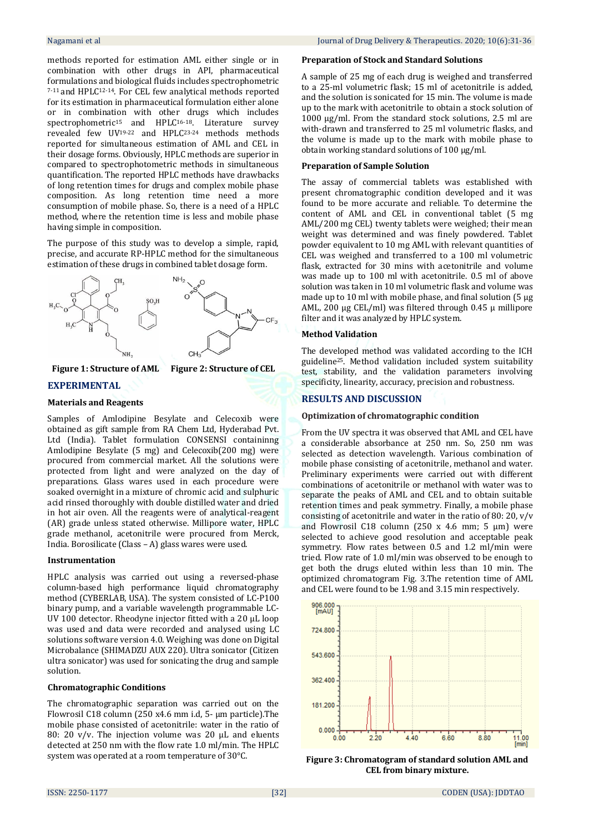methods reported for estimation AML either single or in combination with other drugs in API, pharmaceutical formulations and biological fluids includes spectrophometric 7-11 and HPLC12-14. For CEL few analytical methods reported for its estimation in pharmaceutical formulation either alone or in combination with other drugs which includes spectrophometric<sup>15</sup> and HPLC16-18. Literature survey revealed few UV19-22 and HPLC23-24 methods methods reported for simultaneous estimation of AML and CEL in their dosage forms. Obviously, HPLC methods are superior in compared to spectrophotometric methods in simultaneous quantification. The reported HPLC methods have drawbacks of long retention times for drugs and complex mobile phase composition. As long retention time need a more consumption of mobile phase. So, there is a need of a HPLC method, where the retention time is less and mobile phase having simple in composition.

The purpose of this study was to develop a simple, rapid, precise, and accurate RP-HPLC method for the simultaneous estimation of these drugs in combined tablet dosage form.



#### **Figure 1: Structure of AML Figure 2: Structure of CEL**

## **EXPERIMENTAL**

#### **Materials and Reagents**

Samples of Amlodipine Besylate and Celecoxib were obtained as gift sample from RA Chem Ltd, Hyderabad Pvt. Ltd (India). Tablet formulation CONSENSI containinng Amlodipine Besylate (5 mg) and Celecoxib(200 mg) were procured from commercial market. All the solutions were protected from light and were analyzed on the day of preparations. Glass wares used in each procedure were soaked overnight in a mixture of chromic acid and sulphuric acid rinsed thoroughly with double distilled water and dried in hot air oven. All the reagents were of analytical-reagent (AR) grade unless stated otherwise. Millipore water, HPLC grade methanol, acetonitrile were procured from Merck, India. Borosilicate (Class – A) glass wares were used.

#### **Instrumentation**

HPLC analysis was carried out using a reversed-phase column-based high performance liquid chromatography method (CYBERLAB, USA). The system consisted of LC-P100 binary pump, and a variable wavelength programmable LC-UV 100 detector. Rheodyne injector fitted with a 20 µL loop was used and data were recorded and analysed using LC solutions software version 4.0. Weighing was done on Digital Microbalance (SHIMADZU AUX 220). Ultra sonicator (Citizen ultra sonicator) was used for sonicating the drug and sample solution.

#### **Chromatographic Conditions**

The chromatographic separation was carried out on the Flowrosil C18 column (250 x4.6 mm i.d, 5- µm particle).The mobile phase consisted of acetonitrile: water in the ratio of 80: 20 v/v. The injection volume was 20 μL and eluents detected at 250 nm with the flow rate 1.0 ml/min. The HPLC system was operated at a room temperature of 30°C.

#### **Preparation of Stock and Standard Solutions**

A sample of 25 mg of each drug is weighed and transferred to a 25-ml volumetric flask; 15 ml of acetonitrile is added, and the solution is sonicated for 15 min. The volume is made up to the mark with acetonitrile to obtain a stock solution of 1000 µg/ml. From the standard stock solutions, 2.5 ml are with-drawn and transferred to 25 ml volumetric flasks, and the volume is made up to the mark with mobile phase to obtain working standard solutions of 100 µg/ml.

#### **Preparation of Sample Solution**

The assay of commercial tablets was established with present chromatographic condition developed and it was found to be more accurate and reliable. To determine the content of AML and CEL in conventional tablet (5 mg AML/200 mg CEL) twenty tablets were weighed; their mean weight was determined and was finely powdered. Tablet powder equivalent to 10 mg AML with relevant quantities of CEL was weighed and transferred to a 100 ml volumetric flask, extracted for 30 mins with acetonitrile and volume was made up to 100 ml with acetonitrile. 0.5 ml of above solution was taken in 10 ml volumetric flask and volume was made up to 10 ml with mobile phase, and final solution (5 μg AML, 200 μg CEL/ml) was filtered through 0.45 μ millipore filter and it was analyzed by HPLC system.

#### **Method Validation**

The developed method was validated according to the ICH guideline25. Method validation included system suitability test, stability, and the validation parameters involving specificity, linearity, accuracy, precision and robustness.

#### **RESULTS AND DISCUSSION**

#### **Optimization of chromatographic condition**

From the UV spectra it was observed that AML and CEL have a considerable absorbance at 250 nm. So, 250 nm was selected as detection wavelength. Various combination of mobile phase consisting of acetonitrile, methanol and water. Preliminary experiments were carried out with different combinations of acetonitrile or methanol with water was to separate the peaks of AML and CEL and to obtain suitable retention times and peak symmetry. Finally, a mobile phase consisting of acetonitrile and water in the ratio of 80: 20, v/v and Flowrosil C18 column (250 x 4.6 mm; 5  $\mu$ m) were selected to achieve good resolution and acceptable peak symmetry. Flow rates between 0.5 and 1.2 ml/min were tried. Flow rate of 1.0 ml/min was observed to be enough to get both the drugs eluted within less than 10 min. The optimized chromatogram Fig. 3.The retention time of AML and CEL were found to be 1.98 and 3.15 min respectively.



**Figure 3: Chromatogram of standard solution AML and CEL from binary mixture.**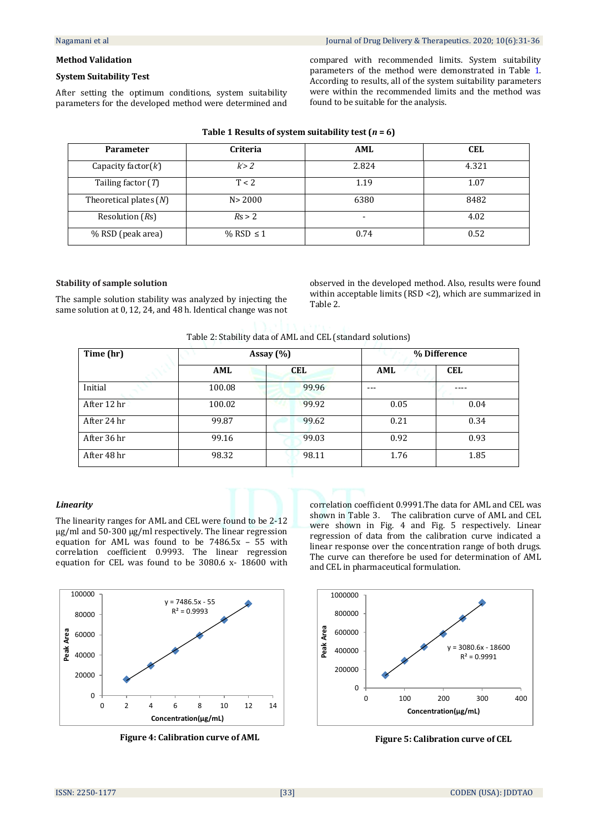#### **Method Validation**

# **System Suitability Test**

After setting the optimum conditions, system suitability parameters for the developed method were determined and compared with recommended limits. System suitability parameters of the method were demonstrated in Table 1. According to results, all of the system suitability parameters were within the recommended limits and the method was found to be suitable for the analysis.

| <b>Parameter</b>         | <b>Criteria</b> | AML                      | <b>CEL</b> |
|--------------------------|-----------------|--------------------------|------------|
| Capacity factor $(k)$    | k > 2           | 2.824                    | 4.321      |
| Tailing factor $(T)$     | T < 2           | 1.19                     | 1.07       |
| Theoretical plates $(N)$ | N > 2000        | 6380                     | 8482       |
| Resolution (Rs)          | Rs > 2          | $\overline{\phantom{0}}$ | 4.02       |
| % RSD (peak area)        | % RSD $\leq 1$  | 0.74                     | 0.52       |

## **Table 1 Results of system suitability test (***n* **= 6)**

#### **Stability of sample solution**

The sample solution stability was analyzed by injecting the same solution at 0, 12, 24, and 48 h. Identical change was not observed in the developed method. Also, results were found within acceptable limits (RSD <2), which are summarized in Table 2.

| Table 2: Stability data of AML and CEL (standard solutions) |  |  |
|-------------------------------------------------------------|--|--|
|                                                             |  |  |

| Time (hr)   | Assay $(\% )$ |            | % Difference |            |  |
|-------------|---------------|------------|--------------|------------|--|
|             | AML           | <b>CEL</b> | AML          | <b>CEL</b> |  |
| Initial     | 100.08        | 99.96      | ---          |            |  |
| After 12 hr | 100.02        | 99.92      | 0.05         | 0.04       |  |
| After 24 hr | 99.87         | 99.62      | 0.21         | 0.34       |  |
| After 36 hr | 99.16         | 99.03      | 0.92         | 0.93       |  |
| After 48 hr | 98.32         | 98.11      | 1.76         | 1.85       |  |

#### *Linearity*

The linearity ranges for AML and CEL were found to be 2-12 µg/ml and 50-300 µg/ml respectively. The linear regression equation for AML was found to be 7486.5x – 55 with correlation coefficient 0.9993. The linear regression equation for CEL was found to be 3080.6 x- 18600 with





correlation coefficient 0.9991.The data for AML and CEL was shown in Table 3. The calibration curve of AML and CEL were shown in Fig. 4 and Fig. 5 respectively. Linear regression of data from the calibration curve indicated a linear response over the concentration range of both drugs. The curve can therefore be used for determination of AML and CEL in pharmaceutical formulation.

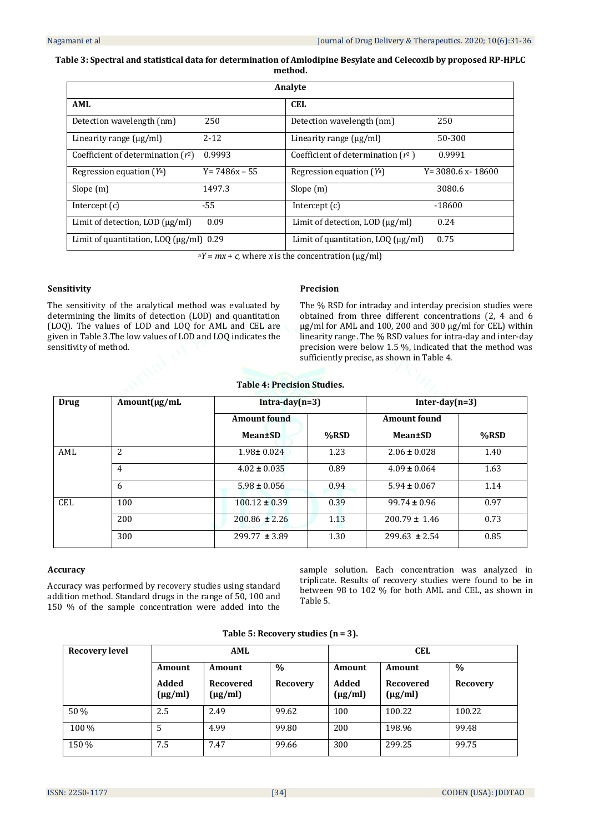# **Table 3: Spectral and statistical data for determination of Amlodipine Besylate and Celecoxib by proposed RP-HPLC method.**

| Analyte                                                |                  |                                      |                        |  |  |  |
|--------------------------------------------------------|------------------|--------------------------------------|------------------------|--|--|--|
| <b>AML</b>                                             |                  | <b>CEL</b>                           |                        |  |  |  |
| Detection wavelength (nm)                              | 250              | Detection wavelength (nm)            | 250                    |  |  |  |
| Linearity range $(\mu g/ml)$                           | $2 - 12$         | Linearity range (µg/ml)              | 50-300                 |  |  |  |
| Coefficient of determination $(r^2)$                   | 0.9993           | Coefficient of determination $(r^2)$ | 0.9991                 |  |  |  |
| Regression equation $(Y^a)$                            | $Y = 7486x - 55$ | Regression equation $(Y^a)$          | $Y = 3080.6$ x - 18600 |  |  |  |
| Slope (m)                                              | 1497.3           | Slope $(m)$                          | 3080.6                 |  |  |  |
| Intercept $(c)$                                        | $-55$            | Intercept $(c)$                      | -18600                 |  |  |  |
| Limit of detection, LOD $\left(\frac{\mu g}{m}\right)$ | 0.09             | Limit of detection, LOD $\mu$ g/ml)  | 0.24                   |  |  |  |
| Limit of quantitation, LOQ $(\mu g/ml)$ 0.29           |                  | Limit of quantitation, LOO (ug/ml)   | 0.75                   |  |  |  |

 $aY = mx + c$ , where *x* is the concentration ( $\mu$ g/ml)

### **Sensitivity**

The sensitivity of the analytical method was evaluated by determining the limits of detection (LOD) and quantitation (LOQ). The values of LOD and LOQ for AML and CEL are given in Table 3.The low values of LOD and LOQ indicates the sensitivity of method.

#### **Precision**

The % RSD for intraday and interday precision studies were obtained from three different concentrations (2, 4 and 6 μg/ml for AML and 100, 200 and 300 μg/ml for CEL) within linearity range. The % RSD values for intra-day and inter-day precision were below 1.5 %, indicated that the method was sufficiently precise, as shown in Table 4.

| <b>Table 4: Precision Studies.</b> |  |
|------------------------------------|--|
|------------------------------------|--|

| <b>Drug</b> | $Amount(\mu g/mL)$ | $Intra-day(n=3)$    |      | Inter-day $(n=3)$   |      |
|-------------|--------------------|---------------------|------|---------------------|------|
|             |                    | <b>Amount found</b> |      | <b>Amount found</b> |      |
|             |                    | Mean±SD             | %RSD | Mean±SD             | %RSD |
| AML         | 2                  | $1.98 \pm 0.024$    | 1.23 | $2.06 \pm 0.028$    | 1.40 |
|             | $\overline{4}$     | $4.02 \pm 0.035$    | 0.89 | $4.09 \pm 0.064$    | 1.63 |
|             | 6                  | $5.98 \pm 0.056$    | 0.94 | $5.94 \pm 0.067$    | 1.14 |
| <b>CEL</b>  | 100                | $100.12 \pm 0.39$   | 0.39 | $99.74 \pm 0.96$    | 0.97 |
|             | 200                | $200.86 \pm 2.26$   | 1.13 | $200.79 \pm 1.46$   | 0.73 |
|             | 300                | $299.77 \pm 3.89$   | 1.30 | $299.63 \pm 2.54$   | 0.85 |

## **Accuracy**

Accuracy was performed by recovery studies using standard addition method. Standard drugs in the range of 50, 100 and 150 % of the sample concentration were added into the

sample solution. Each concentration was analyzed in triplicate. Results of recovery studies were found to be in between 98 to 102 % for both AML and CEL, as shown in Table 5.

| Table 5: Recovery studies $(n = 3)$ . |  |  |  |  |  |
|---------------------------------------|--|--|--|--|--|
|---------------------------------------|--|--|--|--|--|

| <b>Recovery level</b> |                       | AML                       |          |                       | <b>CEL</b>                |                 |
|-----------------------|-----------------------|---------------------------|----------|-----------------------|---------------------------|-----------------|
|                       | Amount                | Amount                    | $\%$     | Amount                | Amount                    | $\%$            |
|                       | Added<br>$(\mu g/ml)$ | Recovered<br>$(\mu g/ml)$ | Recovery | Added<br>$(\mu g/ml)$ | Recovered<br>$(\mu g/ml)$ | <b>Recovery</b> |
| 50 %                  | 2.5                   | 2.49                      | 99.62    | 100                   | 100.22                    | 100.22          |
| 100 %                 | 5                     | 4.99                      | 99.80    | 200                   | 198.96                    | 99.48           |
| 150 %                 | 7.5                   | 7.47                      | 99.66    | 300                   | 299.25                    | 99.75           |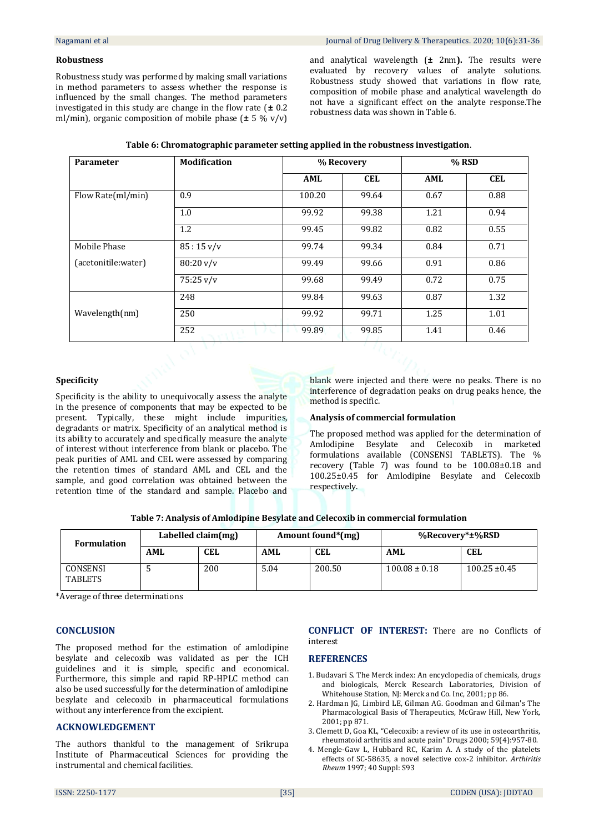#### **Robustness**

Robustness study was performed by making small variations in method parameters to assess whether the response is influenced by the small changes. The method parameters investigated in this study are change in the flow rate (**±** 0.2 ml/min), organic composition of mobile phase (**±** 5 % v/v)

and analytical wavelength (**±** 2nm**).** The results were evaluated by recovery values of analyte solutions. Robustness study showed that variations in flow rate, composition of mobile phase and analytical wavelength do not have a significant effect on the analyte response.The robustness data was shown in Table 6.

| Parameter           | <b>Modification</b>               | % Recovery |            | % RSD |            |
|---------------------|-----------------------------------|------------|------------|-------|------------|
|                     |                                   | AML        | <b>CEL</b> | AML   | <b>CEL</b> |
| Flow Rate(ml/min)   | 0.9                               | 100.20     | 99.64      | 0.67  | 0.88       |
|                     | 1.0                               | 99.92      | 99.38      | 1.21  | 0.94       |
|                     | 1.2                               | 99.45      | 99.82      | 0.82  | 0.55       |
| Mobile Phase        | $85:15 \frac{\text{V}}{\text{V}}$ | 99.74      | 99.34      | 0.84  | 0.71       |
| (acetonitile:water) | $80:20 \frac{\text{V}}{\text{V}}$ | 99.49      | 99.66      | 0.91  | 0.86       |
|                     | $75:25 \frac{\text{V}}{\text{V}}$ | 99.68      | 99.49      | 0.72  | 0.75       |
|                     | 248                               | 99.84      | 99.63      | 0.87  | 1.32       |
| Wavelength(nm)      | 250                               | 99.92      | 99.71      | 1.25  | 1.01       |
|                     | 252<br>A.                         | 99.89      | 99.85      | 1.41  | 0.46       |

| Table 6: Chromatographic parameter setting applied in the robustness investigation. |
|-------------------------------------------------------------------------------------|
|-------------------------------------------------------------------------------------|

#### **Specificity**

Specificity is the ability to unequivocally assess the analyte in the presence of components that may be expected to be present. Typically, these might include impurities, degradants or matrix. Specificity of an analytical method is its ability to accurately and specifically measure the analyte of interest without interference from blank or placebo. The peak purities of AML and CEL were assessed by comparing the retention times of standard AML and CEL and the sample, and good correlation was obtained between the retention time of the standard and sample. Placebo and

blank were injected and there were no peaks. There is no interference of degradation peaks on drug peaks hence, the method is specific.

#### **Analysis of commercial formulation**

The proposed method was applied for the determination of Amlodipine Besylate and Celecoxib in marketed formulations available (CONSENSI TABLETS). The % recovery (Table 7) was found to be 100.08±0.18 and 100.25±0.45 for Amlodipine Besylate and Celecoxib respectively.

| Table 7: Analysis of Amlodipine Besylate and Celecoxib in commercial formulation |  |  |
|----------------------------------------------------------------------------------|--|--|
|                                                                                  |  |  |

| <b>Formulation</b>         |     | Labelled claim(mg) |      | Amount found*(mg) | %Recovery*±%RSD   |                   |
|----------------------------|-----|--------------------|------|-------------------|-------------------|-------------------|
|                            | AML | CEL                | AML  | <b>CEL</b>        | AML               | <b>CEL</b>        |
| CONSENSI<br><b>TABLETS</b> |     | 200                | 5.04 | 200.50            | $100.08 \pm 0.18$ | $100.25 \pm 0.45$ |

\*Average of three determinations

#### **CONCLUSION**

The proposed method for the estimation of amlodipine besylate and celecoxib was validated as per the ICH guidelines and it is simple, specific and economical. Furthermore, this simple and rapid RP-HPLC method can also be used successfully for the determination of amlodipine besylate and celecoxib in pharmaceutical formulations without any interference from the excipient.

#### **ACKNOWLEDGEMENT**

The authors thankful to the management of Srikrupa Institute of Pharmaceutical Sciences for providing the instrumental and chemical facilities.

#### **CONFLICT OF INTEREST:** There are no Conflicts of interest

## **REFERENCES**

- 1. Budavari S. The Merck index: An encyclopedia of chemicals, drugs and biologicals, Merck Research Laboratories, Division of Whitehouse Station, NJ: Merck and Co. Inc, 2001; pp 86.
- 2. Hardman JG, Limbird LE, Gilman AG. Goodman and Gilman's The Pharmacological Basis of Therapeutics, McGraw Hill, New York, 2001; pp 871.
- 3. Clemett D, Goa KL, "Celecoxib: a review of its use in osteoarthritis, rheumatoid arthritis and acute pain" Drugs 2000; 59(4):957-80.
- 4. Mengle-Gaw L, Hubbard RC, Karim A. A study of the platelets effects of SC-58635, a novel selective cox-2 inhibitor. *Arthiritis Rheum* 1997; 40 Suppl: S93